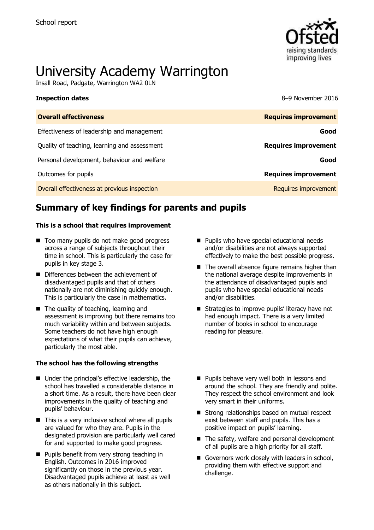

# University Academy Warrington

Insall Road, Padgate, Warrington WA2 0LN

**Inspection dates** 8–9 November 2016

| <b>Overall effectiveness</b>                 | <b>Requires improvement</b> |
|----------------------------------------------|-----------------------------|
| Effectiveness of leadership and management   | Good                        |
| Quality of teaching, learning and assessment | <b>Requires improvement</b> |
| Personal development, behaviour and welfare  | Good                        |
| Outcomes for pupils                          | <b>Requires improvement</b> |
| Overall effectiveness at previous inspection | Requires improvement        |

# **Summary of key findings for parents and pupils**

### **This is a school that requires improvement**

- Too many pupils do not make good progress across a range of subjects throughout their time in school. This is particularly the case for pupils in key stage 3.
- Differences between the achievement of disadvantaged pupils and that of others nationally are not diminishing quickly enough. This is particularly the case in mathematics.
- The quality of teaching, learning and assessment is improving but there remains too much variability within and between subjects. Some teachers do not have high enough expectations of what their pupils can achieve, particularly the most able.

### **The school has the following strengths**

- Under the principal's effective leadership, the school has travelled a considerable distance in a short time. As a result, there have been clear improvements in the quality of teaching and pupils' behaviour.
- $\blacksquare$  This is a very inclusive school where all pupils are valued for who they are. Pupils in the designated provision are particularly well cared for and supported to make good progress.
- **Pupils benefit from very strong teaching in** English. Outcomes in 2016 improved significantly on those in the previous year. Disadvantaged pupils achieve at least as well as others nationally in this subject.
- **Pupils who have special educational needs** and/or disabilities are not always supported effectively to make the best possible progress.
- $\blacksquare$  The overall absence figure remains higher than the national average despite improvements in the attendance of disadvantaged pupils and pupils who have special educational needs and/or disabilities.
- Strategies to improve pupils' literacy have not had enough impact. There is a very limited number of books in school to encourage reading for pleasure.
- **Pupils behave very well both in lessons and** around the school. They are friendly and polite. They respect the school environment and look very smart in their uniforms.
- Strong relationships based on mutual respect exist between staff and pupils. This has a positive impact on pupils' learning.
- $\blacksquare$  The safety, welfare and personal development of all pupils are a high priority for all staff.
- Governors work closely with leaders in school, providing them with effective support and challenge.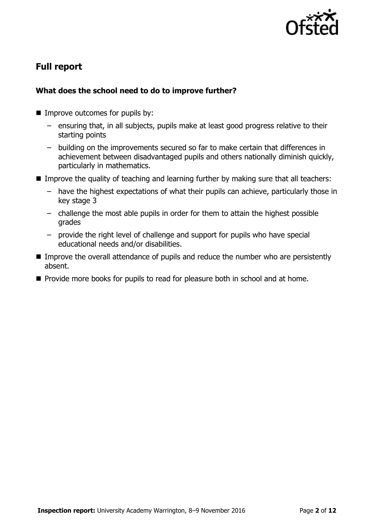

# **Full report**

### **What does the school need to do to improve further?**

- **Improve outcomes for pupils by:** 
	- ensuring that, in all subjects, pupils make at least good progress relative to their starting points
	- building on the improvements secured so far to make certain that differences in achievement between disadvantaged pupils and others nationally diminish quickly, particularly in mathematics.
- **IMPROM** Improve the quality of teaching and learning further by making sure that all teachers:
	- have the highest expectations of what their pupils can achieve, particularly those in key stage 3
	- challenge the most able pupils in order for them to attain the highest possible grades
	- provide the right level of challenge and support for pupils who have special educational needs and/or disabilities.
- Improve the overall attendance of pupils and reduce the number who are persistently absent.
- **Provide more books for pupils to read for pleasure both in school and at home.**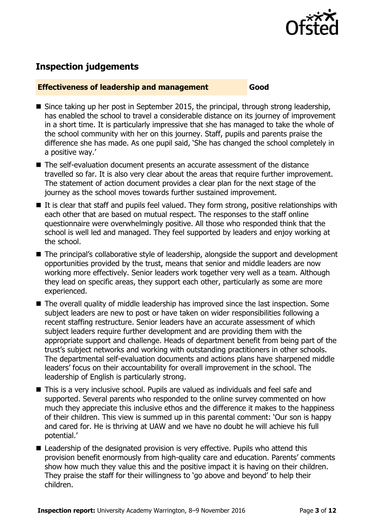

## **Inspection judgements**

### **Effectiveness of leadership and management Good**

- Since taking up her post in September 2015, the principal, through strong leadership, has enabled the school to travel a considerable distance on its journey of improvement in a short time. It is particularly impressive that she has managed to take the whole of the school community with her on this journey. Staff, pupils and parents praise the difference she has made. As one pupil said, 'She has changed the school completely in a positive way.'
- The self-evaluation document presents an accurate assessment of the distance travelled so far. It is also very clear about the areas that require further improvement. The statement of action document provides a clear plan for the next stage of the journey as the school moves towards further sustained improvement.
- $\blacksquare$  It is clear that staff and pupils feel valued. They form strong, positive relationships with each other that are based on mutual respect. The responses to the staff online questionnaire were overwhelmingly positive. All those who responded think that the school is well led and managed. They feel supported by leaders and enjoy working at the school.
- The principal's collaborative style of leadership, alongside the support and development opportunities provided by the trust, means that senior and middle leaders are now working more effectively. Senior leaders work together very well as a team. Although they lead on specific areas, they support each other, particularly as some are more experienced.
- The overall quality of middle leadership has improved since the last inspection. Some subject leaders are new to post or have taken on wider responsibilities following a recent staffing restructure. Senior leaders have an accurate assessment of which subject leaders require further development and are providing them with the appropriate support and challenge. Heads of department benefit from being part of the trust's subject networks and working with outstanding practitioners in other schools. The departmental self-evaluation documents and actions plans have sharpened middle leaders' focus on their accountability for overall improvement in the school. The leadership of English is particularly strong.
- This is a very inclusive school. Pupils are valued as individuals and feel safe and supported. Several parents who responded to the online survey commented on how much they appreciate this inclusive ethos and the difference it makes to the happiness of their children. This view is summed up in this parental comment: 'Our son is happy and cared for. He is thriving at UAW and we have no doubt he will achieve his full potential.'
- Leadership of the designated provision is very effective. Pupils who attend this provision benefit enormously from high-quality care and education. Parents' comments show how much they value this and the positive impact it is having on their children. They praise the staff for their willingness to 'go above and beyond' to help their children.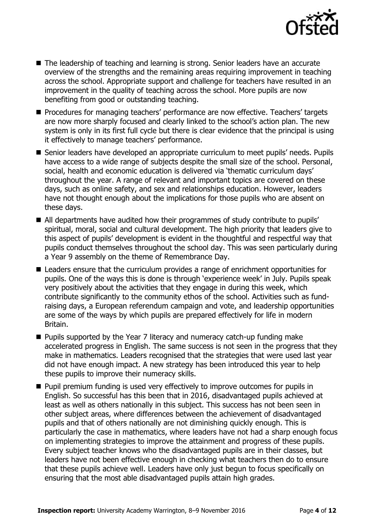

- The leadership of teaching and learning is strong. Senior leaders have an accurate overview of the strengths and the remaining areas requiring improvement in teaching across the school. Appropriate support and challenge for teachers have resulted in an improvement in the quality of teaching across the school. More pupils are now benefiting from good or outstanding teaching.
- **Procedures for managing teachers' performance are now effective. Teachers' targets** are now more sharply focused and clearly linked to the school's action plan. The new system is only in its first full cycle but there is clear evidence that the principal is using it effectively to manage teachers' performance.
- Senior leaders have developed an appropriate curriculum to meet pupils' needs. Pupils have access to a wide range of subjects despite the small size of the school. Personal, social, health and economic education is delivered via 'thematic curriculum days' throughout the year. A range of relevant and important topics are covered on these days, such as online safety, and sex and relationships education. However, leaders have not thought enough about the implications for those pupils who are absent on these days.
- All departments have audited how their programmes of study contribute to pupils' spiritual, moral, social and cultural development. The high priority that leaders give to this aspect of pupils' development is evident in the thoughtful and respectful way that pupils conduct themselves throughout the school day. This was seen particularly during a Year 9 assembly on the theme of Remembrance Day.
- Leaders ensure that the curriculum provides a range of enrichment opportunities for pupils. One of the ways this is done is through 'experience week' in July. Pupils speak very positively about the activities that they engage in during this week, which contribute significantly to the community ethos of the school. Activities such as fundraising days, a European referendum campaign and vote, and leadership opportunities are some of the ways by which pupils are prepared effectively for life in modern Britain.
- **Pupils supported by the Year 7 literacy and numeracy catch-up funding make** accelerated progress in English. The same success is not seen in the progress that they make in mathematics. Leaders recognised that the strategies that were used last year did not have enough impact. A new strategy has been introduced this year to help these pupils to improve their numeracy skills.
- **Pupil premium funding is used very effectively to improve outcomes for pupils in** English. So successful has this been that in 2016, disadvantaged pupils achieved at least as well as others nationally in this subject. This success has not been seen in other subject areas, where differences between the achievement of disadvantaged pupils and that of others nationally are not diminishing quickly enough. This is particularly the case in mathematics, where leaders have not had a sharp enough focus on implementing strategies to improve the attainment and progress of these pupils. Every subject teacher knows who the disadvantaged pupils are in their classes, but leaders have not been effective enough in checking what teachers then do to ensure that these pupils achieve well. Leaders have only just begun to focus specifically on ensuring that the most able disadvantaged pupils attain high grades.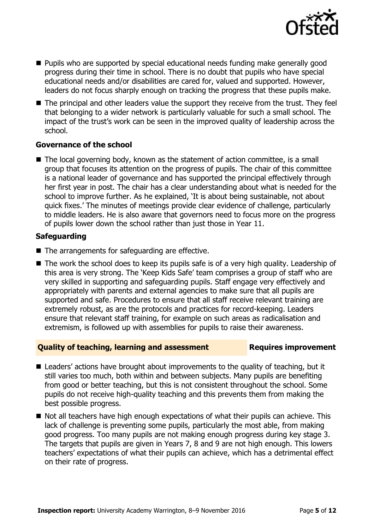

- **Pupils who are supported by special educational needs funding make generally good** progress during their time in school. There is no doubt that pupils who have special educational needs and/or disabilities are cared for, valued and supported. However, leaders do not focus sharply enough on tracking the progress that these pupils make.
- The principal and other leaders value the support they receive from the trust. They feel that belonging to a wider network is particularly valuable for such a small school. The impact of the trust's work can be seen in the improved quality of leadership across the school.

### **Governance of the school**

■ The local governing body, known as the statement of action committee, is a small group that focuses its attention on the progress of pupils. The chair of this committee is a national leader of governance and has supported the principal effectively through her first year in post. The chair has a clear understanding about what is needed for the school to improve further. As he explained, 'It is about being sustainable, not about quick fixes.' The minutes of meetings provide clear evidence of challenge, particularly to middle leaders. He is also aware that governors need to focus more on the progress of pupils lower down the school rather than just those in Year 11.

### **Safeguarding**

- $\blacksquare$  The arrangements for safeguarding are effective.
- The work the school does to keep its pupils safe is of a very high quality. Leadership of this area is very strong. The 'Keep Kids Safe' team comprises a group of staff who are very skilled in supporting and safeguarding pupils. Staff engage very effectively and appropriately with parents and external agencies to make sure that all pupils are supported and safe. Procedures to ensure that all staff receive relevant training are extremely robust, as are the protocols and practices for record-keeping. Leaders ensure that relevant staff training, for example on such areas as radicalisation and extremism, is followed up with assemblies for pupils to raise their awareness.

### **Quality of teaching, learning and assessment Requires improvement**

- Leaders' actions have brought about improvements to the quality of teaching, but it still varies too much, both within and between subjects. Many pupils are benefiting from good or better teaching, but this is not consistent throughout the school. Some pupils do not receive high-quality teaching and this prevents them from making the best possible progress.
- $\blacksquare$  Not all teachers have high enough expectations of what their pupils can achieve. This lack of challenge is preventing some pupils, particularly the most able, from making good progress. Too many pupils are not making enough progress during key stage 3. The targets that pupils are given in Years 7, 8 and 9 are not high enough. This lowers teachers' expectations of what their pupils can achieve, which has a detrimental effect on their rate of progress.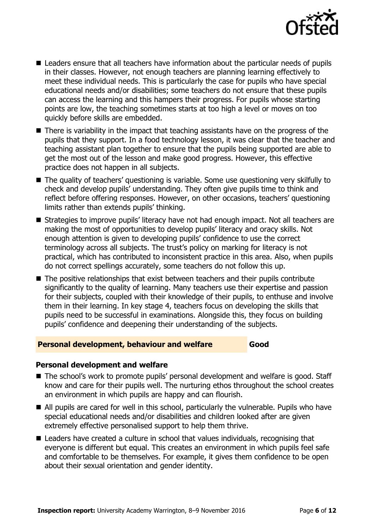

- Leaders ensure that all teachers have information about the particular needs of pupils in their classes. However, not enough teachers are planning learning effectively to meet these individual needs. This is particularly the case for pupils who have special educational needs and/or disabilities; some teachers do not ensure that these pupils can access the learning and this hampers their progress. For pupils whose starting points are low, the teaching sometimes starts at too high a level or moves on too quickly before skills are embedded.
- There is variability in the impact that teaching assistants have on the progress of the pupils that they support. In a food technology lesson, it was clear that the teacher and teaching assistant plan together to ensure that the pupils being supported are able to get the most out of the lesson and make good progress. However, this effective practice does not happen in all subjects.
- The quality of teachers' questioning is variable. Some use questioning very skilfully to check and develop pupils' understanding. They often give pupils time to think and reflect before offering responses. However, on other occasions, teachers' questioning limits rather than extends pupils' thinking.
- Strategies to improve pupils' literacy have not had enough impact. Not all teachers are making the most of opportunities to develop pupils' literacy and oracy skills. Not enough attention is given to developing pupils' confidence to use the correct terminology across all subjects. The trust's policy on marking for literacy is not practical, which has contributed to inconsistent practice in this area. Also, when pupils do not correct spellings accurately, some teachers do not follow this up.
- $\blacksquare$  The positive relationships that exist between teachers and their pupils contribute significantly to the quality of learning. Many teachers use their expertise and passion for their subjects, coupled with their knowledge of their pupils, to enthuse and involve them in their learning. In key stage 4, teachers focus on developing the skills that pupils need to be successful in examinations. Alongside this, they focus on building pupils' confidence and deepening their understanding of the subjects.

### **Personal development, behaviour and welfare Good**

### **Personal development and welfare**

- The school's work to promote pupils' personal development and welfare is good. Staff know and care for their pupils well. The nurturing ethos throughout the school creates an environment in which pupils are happy and can flourish.
- All pupils are cared for well in this school, particularly the vulnerable. Pupils who have special educational needs and/or disabilities and children looked after are given extremely effective personalised support to help them thrive.
- Leaders have created a culture in school that values individuals, recognising that everyone is different but equal. This creates an environment in which pupils feel safe and comfortable to be themselves. For example, it gives them confidence to be open about their sexual orientation and gender identity.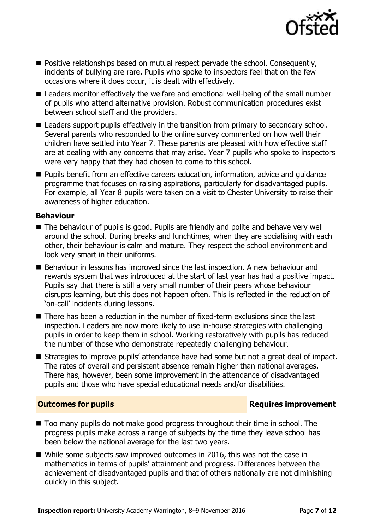

- **Positive relationships based on mutual respect pervade the school. Consequently,** incidents of bullying are rare. Pupils who spoke to inspectors feel that on the few occasions where it does occur, it is dealt with effectively.
- Leaders monitor effectively the welfare and emotional well-being of the small number of pupils who attend alternative provision. Robust communication procedures exist between school staff and the providers.
- Leaders support pupils effectively in the transition from primary to secondary school. Several parents who responded to the online survey commented on how well their children have settled into Year 7. These parents are pleased with how effective staff are at dealing with any concerns that may arise. Year 7 pupils who spoke to inspectors were very happy that they had chosen to come to this school.
- **Pupils benefit from an effective careers education, information, advice and quidance** programme that focuses on raising aspirations, particularly for disadvantaged pupils. For example, all Year 8 pupils were taken on a visit to Chester University to raise their awareness of higher education.

### **Behaviour**

- The behaviour of pupils is good. Pupils are friendly and polite and behave very well around the school. During breaks and lunchtimes, when they are socialising with each other, their behaviour is calm and mature. They respect the school environment and look very smart in their uniforms.
- Behaviour in lessons has improved since the last inspection. A new behaviour and rewards system that was introduced at the start of last year has had a positive impact. Pupils say that there is still a very small number of their peers whose behaviour disrupts learning, but this does not happen often. This is reflected in the reduction of 'on-call' incidents during lessons.
- There has been a reduction in the number of fixed-term exclusions since the last inspection. Leaders are now more likely to use in-house strategies with challenging pupils in order to keep them in school. Working restoratively with pupils has reduced the number of those who demonstrate repeatedly challenging behaviour.
- Strategies to improve pupils' attendance have had some but not a great deal of impact. The rates of overall and persistent absence remain higher than national averages. There has, however, been some improvement in the attendance of disadvantaged pupils and those who have special educational needs and/or disabilities.

### **Outcomes for pupils Requires improvement**

- Too many pupils do not make good progress throughout their time in school. The progress pupils make across a range of subjects by the time they leave school has been below the national average for the last two years.
- While some subjects saw improved outcomes in 2016, this was not the case in mathematics in terms of pupils' attainment and progress. Differences between the achievement of disadvantaged pupils and that of others nationally are not diminishing quickly in this subject.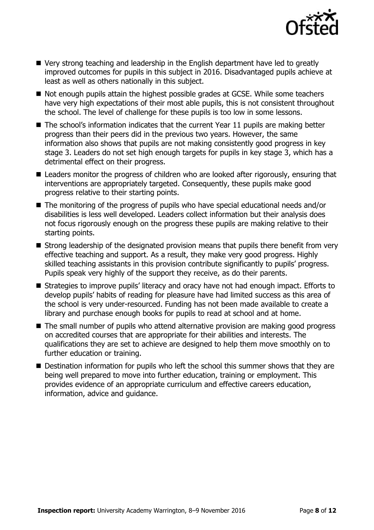

- Very strong teaching and leadership in the English department have led to greatly improved outcomes for pupils in this subject in 2016. Disadvantaged pupils achieve at least as well as others nationally in this subject.
- Not enough pupils attain the highest possible grades at GCSE. While some teachers have very high expectations of their most able pupils, this is not consistent throughout the school. The level of challenge for these pupils is too low in some lessons.
- The school's information indicates that the current Year 11 pupils are making better progress than their peers did in the previous two years. However, the same information also shows that pupils are not making consistently good progress in key stage 3. Leaders do not set high enough targets for pupils in key stage 3, which has a detrimental effect on their progress.
- Leaders monitor the progress of children who are looked after rigorously, ensuring that interventions are appropriately targeted. Consequently, these pupils make good progress relative to their starting points.
- The monitoring of the progress of pupils who have special educational needs and/or disabilities is less well developed. Leaders collect information but their analysis does not focus rigorously enough on the progress these pupils are making relative to their starting points.
- Strong leadership of the designated provision means that pupils there benefit from very effective teaching and support. As a result, they make very good progress. Highly skilled teaching assistants in this provision contribute significantly to pupils' progress. Pupils speak very highly of the support they receive, as do their parents.
- Strategies to improve pupils' literacy and oracy have not had enough impact. Efforts to develop pupils' habits of reading for pleasure have had limited success as this area of the school is very under-resourced. Funding has not been made available to create a library and purchase enough books for pupils to read at school and at home.
- The small number of pupils who attend alternative provision are making good progress on accredited courses that are appropriate for their abilities and interests. The qualifications they are set to achieve are designed to help them move smoothly on to further education or training.
- **Destination information for pupils who left the school this summer shows that they are** being well prepared to move into further education, training or employment. This provides evidence of an appropriate curriculum and effective careers education, information, advice and guidance.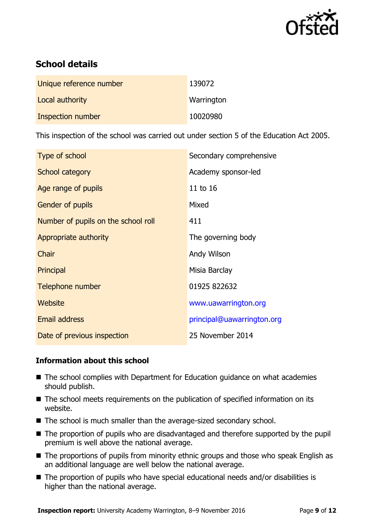

# **School details**

| Unique reference number  | 139072     |
|--------------------------|------------|
| Local authority          | Warrington |
| <b>Inspection number</b> | 10020980   |

This inspection of the school was carried out under section 5 of the Education Act 2005.

| Type of school                      | Secondary comprehensive    |
|-------------------------------------|----------------------------|
| School category                     | Academy sponsor-led        |
| Age range of pupils                 | 11 to 16                   |
| <b>Gender of pupils</b>             | Mixed                      |
| Number of pupils on the school roll | 411                        |
| Appropriate authority               | The governing body         |
| Chair                               | Andy Wilson                |
| Principal                           | Misia Barclay              |
| Telephone number                    | 01925 822632               |
| Website                             | www.uawarrington.org       |
| <b>Email address</b>                | principal@uawarrington.org |
| Date of previous inspection         | 25 November 2014           |

### **Information about this school**

- The school complies with Department for Education guidance on what academies should publish.
- The school meets requirements on the publication of specified information on its website.
- The school is much smaller than the average-sized secondary school.
- The proportion of pupils who are disadvantaged and therefore supported by the pupil premium is well above the national average.
- The proportions of pupils from minority ethnic groups and those who speak English as an additional language are well below the national average.
- The proportion of pupils who have special educational needs and/or disabilities is higher than the national average.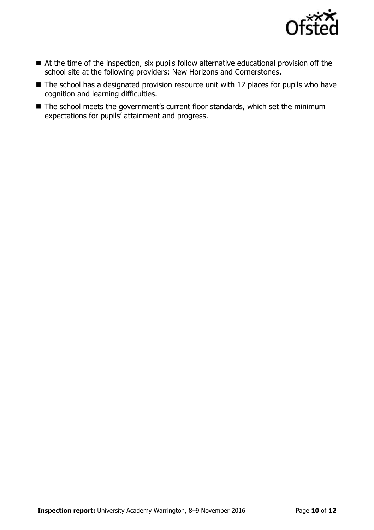

- At the time of the inspection, six pupils follow alternative educational provision off the school site at the following providers: New Horizons and Cornerstones.
- The school has a designated provision resource unit with 12 places for pupils who have cognition and learning difficulties.
- The school meets the government's current floor standards, which set the minimum expectations for pupils' attainment and progress.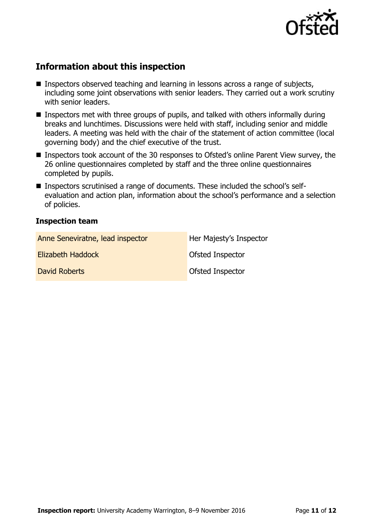

# **Information about this inspection**

- Inspectors observed teaching and learning in lessons across a range of subjects, including some joint observations with senior leaders. They carried out a work scrutiny with senior leaders.
- Inspectors met with three groups of pupils, and talked with others informally during breaks and lunchtimes. Discussions were held with staff, including senior and middle leaders. A meeting was held with the chair of the statement of action committee (local governing body) and the chief executive of the trust.
- Inspectors took account of the 30 responses to Ofsted's online Parent View survey, the 26 online questionnaires completed by staff and the three online questionnaires completed by pupils.
- Inspectors scrutinised a range of documents. These included the school's selfevaluation and action plan, information about the school's performance and a selection of policies.

### **Inspection team**

| Anne Seneviratne, lead inspector | Her Majesty's Inspector |
|----------------------------------|-------------------------|
| Elizabeth Haddock                | <b>Ofsted Inspector</b> |
| David Roberts                    | <b>Ofsted Inspector</b> |